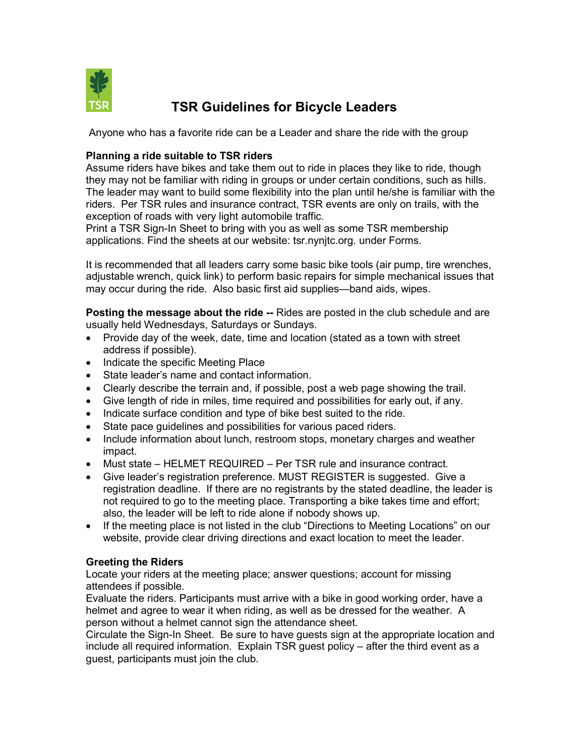

# TSR Guidelines for Bicycle Leaders

Anyone who has a favorite ride can be a Leader and share the ride with the group

### Planning a ride suitable to TSR riders

Assume riders have bikes and take them out to ride in places they like to ride, though they may not be familiar with riding in groups or under certain conditions, such as hills. The leader may want to build some flexibility into the plan until he/she is familiar with the riders. Per TSR rules and insurance contract, TSR events are only on trails, with the exception of roads with very light automobile traffic.

Print a TSR Sign-In Sheet to bring with you as well as some TSR membership applications. Find the sheets at our website: tsr.nynjtc.org. under Forms.

It is recommended that all leaders carry some basic bike tools (air pump, tire wrenches, adjustable wrench, quick link) to perform basic repairs for simple mechanical issues that may occur during the ride. Also basic first aid supplies—band aids, wipes.

Posting the message about the ride -- Rides are posted in the club schedule and are usually held Wednesdays, Saturdays or Sundays.

- Provide day of the week, date, time and location (stated as a town with street address if possible).
- Indicate the specific Meeting Place
- State leader's name and contact information.
- Clearly describe the terrain and, if possible, post a web page showing the trail.
- Give length of ride in miles, time required and possibilities for early out, if any.
- Indicate surface condition and type of bike best suited to the ride.
- State pace guidelines and possibilities for various paced riders.
- Include information about lunch, restroom stops, monetary charges and weather impact.
- Must state HELMET REQUIRED Per TSR rule and insurance contract.
- Give leader's registration preference. MUST REGISTER is suggested. Give a registration deadline. If there are no registrants by the stated deadline, the leader is not required to go to the meeting place. Transporting a bike takes time and effort; also, the leader will be left to ride alone if nobody shows up.
- If the meeting place is not listed in the club "Directions to Meeting Locations" on our website, provide clear driving directions and exact location to meet the leader.

#### Greeting the Riders

Locate your riders at the meeting place; answer questions; account for missing attendees if possible.

Evaluate the riders. Participants must arrive with a bike in good working order, have a helmet and agree to wear it when riding, as well as be dressed for the weather. A person without a helmet cannot sign the attendance sheet.

Circulate the Sign-In Sheet. Be sure to have guests sign at the appropriate location and include all required information. Explain TSR guest policy – after the third event as a guest, participants must join the club.